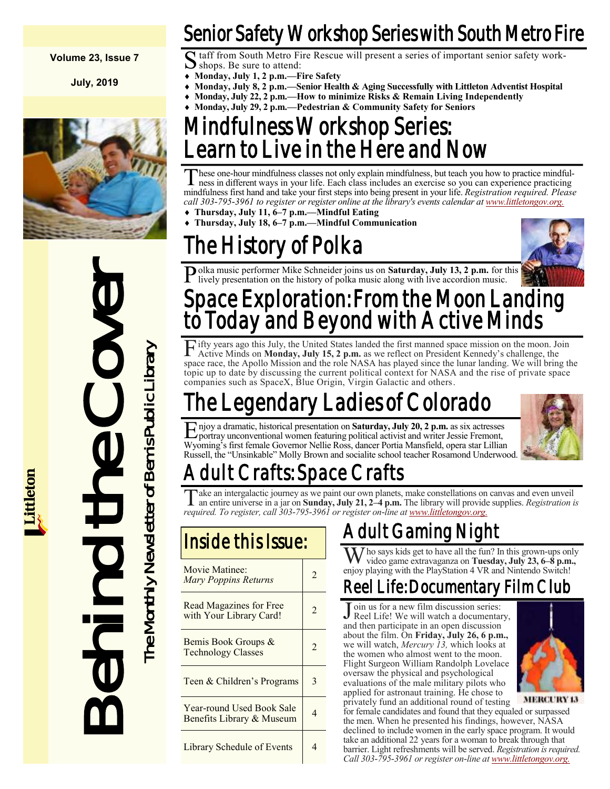#### **Volume 23, Issue 7**

**July, 2019**



Inside the Cover The Cover The Monthlet School Sale<br>
The Cover The Month of Bemis Book Croups &<br>
The Cover Monthlet School Sale<br>
The Cover The Monthlet School Magnetic Library & Marting Cover The Monthlet School Magnetic L

### Senior Safety Workshop Series with South Metro Fire

Staff from South Metro Fire Rescue will present a series of important senior safety work-<br>Shops. Be sure to attend: shops. Be sure to attend:

- **Monday, July 1, 2 p.m.—Fire Safety**
- **Monday, July 8, 2 p.m.—Senior Health & Aging Successfully with Littleton Adventist Hospital**
- **Monday, July 22, 2 p.m.—How to minimize Risks & Remain Living Independently**
	- **Monday, July 29, 2 p.m.—Pedestrian & Community Safety for Seniors**

### Mindfulness Workshop Series: earn to Live in the Here and Now

These one-hour mindfulness classes not only explain mindfulness, but teach you how to practice mindfulness in different ways in your life. Each class includes an exercise so you can experience practicing hese one-hour mindfulness classes not only explain mindfulness, but teach you how to practice mindfulmindfulness first hand and take your first steps into being present in your life. *Registration required. Please call 303-795-3961 to register or register online at the library's events calendar at [www.littletongov.org.](https://www.littletongov.org/city-services/city-departments/bemis-library/library-events-calendar/-curm-7/-cury-2019/-selcat-3)* 

- **Thursday, July 11, 6–7 p.m.—Mindful Eating**
- **Thursday, July 18, 6–7 p.m.—Mindful Communication**

### The History of Polka



Polka music performer Mike Schneider joins us on **Saturday, July 13, 2 p.m.** for this lively presentation on the history of polka music along with live accordion music. lively presentation on the history of polka music along with live accordion music.

### Space Exploration: From the Moon Landing to Today and Beyond with Active Minds

Fifty years ago this July, the United States landed the first manned space mission on the moon. Join Active Minds on **Monday, July 15, 2 p.m.** as we reflect on President Kennedy's challenge, the Active Minds on **Monday, July 15, 2 p.m.** as we reflect on President Kennedy's challenge, the space race, the Apollo Mission and the role NASA has played since the lunar landing. We will bring the topic up to date by discussing the current political context for NASA and the rise of private space companies such as SpaceX, Blue Origin, Virgin Galactic and others.

## he Legendary Ladies of Colorado

E njoy a dramatic, historical presentation on **Saturday, July 20, 2 p.m.** as six actresses portray unconventional women featuring political activist and writer Jessie Fremont, portray unconventional women featuring political activist and writer Jessie Fremont, Wyoming's first female Governor Nellie Ross, dancer Portia Mansfield, opera star Lillian Russell, the "Unsinkable" Molly Brown and socialite school teacher Rosamond Underwood.



## dult Crafts: Space Crafts

Take an intergalactic journey as we paint our own planets, make constellations on canvas and even unveil an entire universe in a jar on **Sunday, July 21, 2–4 p.m.** The library will provide supplies. *Registration is* ake an intergalactic journey as we paint our own planets, make constellations on canvas and even unveil *required. To register, call 303-795-3961 or register on-line at [www.littletongov.org.](https://www.littletongov.org/city-services/city-departments/bemis-library/library-events-calendar/-curm-7/-cury-2019/-selcat-3)*

| Movie Matinee:<br><b>Mary Poppins Returns</b>             | $\mathfrak{D}$ |
|-----------------------------------------------------------|----------------|
| <b>Read Magazines for Free</b><br>with Your Library Card! | $\mathfrak{D}$ |
| Bemis Book Groups &<br><b>Technology Classes</b>          | $\mathfrak{D}$ |
| Teen & Children's Programs                                | 3              |
| Year-round Used Book Sale<br>Benefits Library & Museum    | 4              |
| Library Schedule of Events                                | 4              |

### Adult Gaming Night

Who says kids get to have all the fun? In this grown-ups only video game extravaganza on **Tuesday, July 23, 6–8 p.m.,**  enjoy playing with the PlayStation 4 VR and Nintendo Switch!

### Reel Life: Documentary Film Club

J Reel Life! We will watch a documentary, oin us for a new film discussion series: and then participate in an open discussion about the film. On **Friday, July 26, 6 p.m.,**  we will watch, *Mercury 13,* which looks at the women who almost went to the moon. Flight Surgeon William Randolph Lovelace oversaw the physical and psychological evaluations of the male military pilots who applied for astronaut training. He chose to privately fund an additional round of testing



**MERCURY 13** 

for female candidates and found that they equaled or surpassed the men. When he presented his findings, however, NASA declined to include women in the early space program. It would take an additional 22 years for a woman to break through that barrier. Light refreshments will be served. *Registration is required. Call 303-795-3961 or register on-line at [www.littletongov.org.](https://www.littletongov.org/city-services/city-departments/bemis-library/library-events-calendar/-curm-7/-cury-2019/-selcat-3)*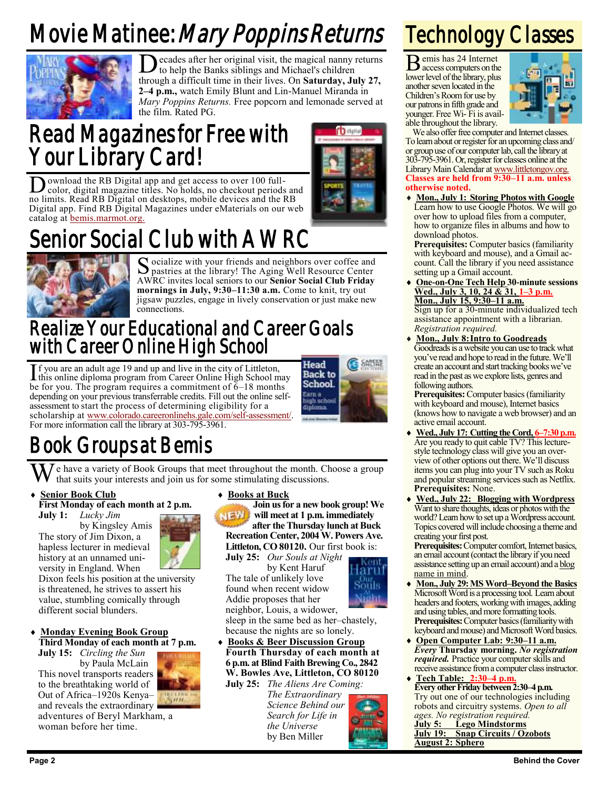# Movie Matinee: Mary Poppins Returns



Decades after her original visit, the magical nanny returns<br>to help the Banks siblings and Michael's children to help the Banks siblings and Michael's children through a difficult time in their lives. On **Saturday, July 27, 2–4 p.m.,** watch Emily Blunt and Lin-Manuel Miranda in *Mary Poppins Returns.* Free popcorn and lemonade served at the film. Rated PG.

### Read Magazines for Free with Your Library Card!



## enior Social Club with AWRC



Socialize with your friends and neighbors over coffee and pastries at the library! The Aging Well Resource Center pastries at the library! The Aging Well Resource Center AWRC invites local seniors to our **Senior Social Club Friday mornings in July, 9:30–11:30 a.m.** Come to knit, try out jigsaw puzzles, engage in lively conservation or just make new connections.

### Realize Your Educational and Career Goals with Career Online High School

If you are an adult age 19 and up and live in the city of Littleton,<br>this online diploma program from Career Online High School m this online diploma program from Career Online High School may be for you. The program requires a commitment of  $6-18$  months depending on your previous transferrable credits. Fill out the online selfassessment to start the process of determining eligibility for a scholarship at [www.colorado.careeronlinehs.gale.com/self-assessment/.](https://www.colorado.careeronlinehs.gale.com/self-assessment/)  For more information call the library at 303-795-3961.



### Book Groups at Bemis

We have a variety of Book Groups that meet throughout the month. Choose a group that suits your interests and join us for some stimulating discussions.

#### **Senior Book Club**

**First Monday of each month at 2 p.m.**

**July 1:** *Lucky Jim*

by Kingsley Amis The story of Jim Dixon, a hapless lecturer in medieval history at an unnamed uni-

versity in England. When Dixon feels his position at the university is threatened, he strives to assert his value, stumbling comically through different social blunders.

#### **Monday Evening Book Group Third Monday of each month at 7 p.m. July 15:** *Circling the Sun*

by Paula McLain This novel transports readers to the breathtaking world of Out of Africa–1920s Kenya– and reveals the extraordinary adventures of Beryl Markham, a woman before her time.



**Join us for a new book group! We will meet at 1 p.m. immediately after the Thursday lunch at Buck Recreation Center, 2004 W. Powers Ave.** Littleton, CO 80120. Our first book is:

**July 25:** *Our Souls at Night* by Kent Haruf The tale of unlikely love found when recent widow Addie proposes that her



neighbor, Louis, a widower, sleep in the same bed as her–chastely, because the nights are so lonely. **Books & Beer Discussion Group**

**Fourth Thursday of each month at 6 p.m. at Blind Faith Brewing Co., 2842 W. Bowles Ave, Littleton, CO 80120 July 25:** *The Aliens Are Coming:*

*The Extraordinary Science Behind our Search for Life in the Universe* by Ben Miller

## Technology Classes

B emis has 24 Internet access computers on the lower level of the library, plus another seven located in the Children's Room for use by our patrons in fifth grade and younger. Free Wi- Fi is available throughout the library.



We also offer free computer and Internet classes. To learn about or register for an upcoming class and/ or group use of our computer lab, call the library at 303-795-3961. Or, register for classes online at the Library Main Calendar at [www.littletongov.org.](https://www.littletongov.org/city-services/city-departments/bemis-library/library-events-calendar/-curm-7/-cury-2019/-selcat-157) **Classes are held from 9:30–11 a.m. unless otherwise noted.**

 **Mon., July 1: Storing Photos with Google** Learn how to use Google Photos. We will go over how to upload files from a computer, how to organize files in albums and how to download photos.

**Prerequisites:** Computer basics (familiarity with keyboard and mouse), and a Gmail account. Call the library if you need assistance setting up a Gmail account.

 **One-on-One Tech Help 30-minute sessions Wed., July 3, 10, 24 & 31, 1–3 p.m. Mon., July 15, 9:30–11 a.m.**

Sign up for a 30-minute individualized tech assistance appointment with a librarian. *Registration required.*

 **Mon., July 8:Intro to Goodreads** Goodreads is a website you can use to track what you've read and hope to read in the future. We'll create an account and start tracking books we've read in the past as we explore lists, genres and following authors.

**Prerequisites:** Computer basics (familiarity with keyboard and mouse), Internet basics (knows how to navigate a web browser) and an active email account.

- **Wed., July 17: Cutting the Cord, 6–7:30 p.m.** Are you ready to quit cable TV? This lecturestyle technology class will give you an overview of other options out there. We'll discuss items you can plug into your TV such as Roku and popular streaming services such as Netflix. **Prerequisites:** None.
- **Wed., July 22: Blogging with Wordpress** Want to share thoughts, ideas or photos with the world? Learn how to set up a Wordpress account. Topics covered will include choosing a theme and creating your first post.

**Prerequisites:** Computer comfort, Internet basics, an email account (contact the library if you need assistance setting up an email account) and a blog name in mind.

- **Mon., July 29:MS Word–Beyond the Basics** Microsoft Word is a processing tool. Learn about headers and footers, working with images, adding and using tables, and more formatting tools. **Prerequisites:** Computer basics (familiarity with keyboard and mouse) and Microsoft Word basics.
- **Open Computer Lab: 9:30–11 a.m.** *Every* **Thursday morning.** *No registration required.* Practice your computer skills and receive assistance from a computer class instructor.
- **Tech Table: 2:30–4 p.m. Every other Friday between 2:30–4 p.m.** Try out one of our technologies including robots and circuitry systems. *Open to all ages. No registration required.* **July 5: Lego Mindstorms Snap Circuits / Ozobots August 2: Sphero**

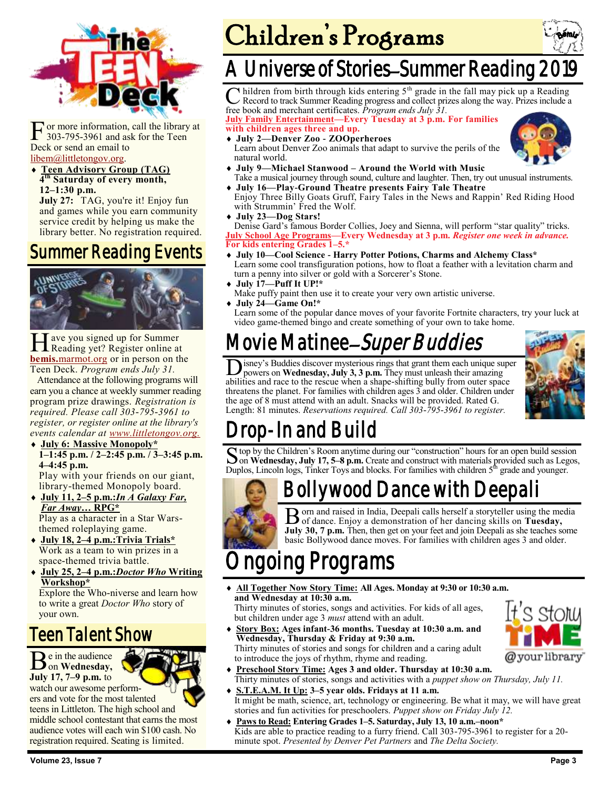

F or more information,<br>303-795-3961 and asl<br>Deck or send an email to or more information, call the library at 303-795-3961 and ask for the Teen [libem@littletongov.org.](mailto:libem@littletongov.org.)

 **Teen Advisory Group (TAG) 4 th Saturday of every month, 12–1:30 p.m.**

July 27: TAG, you're it! Enjoy fun and games while you earn community service credit by helping us make the library better. No registration required.

### Summer Reading Events



H Reading yet? Register online at ave you signed up for Summer **bemis.**[marmot.org](https://bemis.marmot.org/) or in person on the Teen Deck. *Program ends July 31.*

Attendance at the following programs will earn you a chance at weekly summer reading program prize drawings. *Registration is required. Please call 303-795-3961 to register, or register online at the library's events calendar at [www.littletongov.org.](https://www.littletongov.org/city-services/city-departments/bemis-library/library-events-calendar/-curm-7/-cury-2019/-selcat-97)*

#### **July 6: Massive Monopoly\* 1–1:45 p.m. / 2–2:45 p.m. / 3–3:45 p.m. 4–4:45 p.m.** Play with your friends on our giant,

library-themed Monopoly board.

- **July 11, 2–5 p.m.:***In A Galaxy Far, Far Away…* **RPG\*** Play as a character in a Star Warsthemed roleplaying game.
- **July 18, 2–4 p.m.:Trivia Trials\*** Work as a team to win prizes in a space-themed trivia battle.
- **July 25, 2–4 p.m.:***Doctor Who* **Writing Workshop\*** Explore the Who-niverse and learn how

to write a great *Doctor Who* story of your own.

### Teen Talent Show

Be in the audience on **Wednesday, July 17, 7–9 p.m.** to

watch our awesome performers and vote for the most talented teens in Littleton. The high school and

middle school contestant that earns the most audience votes will each win \$100 cash. No registration required. Seating is limited.



### A Universe of Stories-Summer Reading

C hildren from birth through kids entering 5<sup>th</sup> grade in the fall may pick up a Reading Record to track Summer Reading progress and collect prizes along the way. Prizes include a hildren from birth through kids entering  $5<sup>th</sup>$  grade in the fall may pick up a Reading free book and merchant certificates. *Program ends July 31.*

**July Family Entertainment—Every Tuesday at 3 p.m. For families with children ages three and up.**

 **July 2—Denver Zoo - ZOOperheroes** Learn about Denver Zoo animals that adapt to survive the perils of the natural world.

- **July 9—Michael Stanwood – Around the World with Music** Take a musical journey through sound, culture and laughter. Then, try out unusual instruments.
- **July 16—Play-Ground Theatre presents Fairy Tale Theatre** Enjoy Three Billy Goats Gruff, Fairy Tales in the News and Rappin' Red Riding Hood with Strummin' Fred the Wolf.
- **July 23—Dog Stars!**

Denise Gard's famous Border Collies, Joey and Sienna, will perform "star quality" tricks. **July School Age Programs—Every Wednesday at 3 p.m.** *Register one week in advance.*  **For kids entering Grades 1–5.\***

- **July 10—Cool Science - Harry Potter Potions, Charms and Alchemy Class\*** Learn some cool transfiguration potions, how to float a feather with a levitation charm and turn a penny into silver or gold with a Sorcerer's Stone.
- **July 17—Puff It UP!\***
- Make puffy paint then use it to create your very own artistic universe.
- **July 24—Game On!\***

Learn some of the popular dance moves of your favorite Fortnite characters, try your luck at video game-themed bingo and create something of your own to take home.

## Movie Matinee–Super Buddies

D isney's Buddies discover mysterious rings that grant them each unique superpowers on **Wednesday, July 3, 3 p.m.** They must unleash their amazing abilities and race to the rescue when a shape-shifting bully from outer spa isney's Buddies discover mysterious rings that grant them each unique super powers on **Wednesday, July 3, 3 p.m.** They must unleash their amazing threatens the planet. For families with children ages 3 and older. Children under the age of 8 must attend with an adult. Snacks will be provided. Rated G. Length: 81 minutes. *Reservations required. Call 303-795-3961 to register.*



### rop-In and Build

S top by the Children's Room anytime during our "construction" hours for an open build session<br>On Wednesday, July 17, 5–8 p.m. Create and construct with materials provided such as Legos. on **Wednesday, July 17, 5–8 p.m.** Create and construct with materials provided such as Legos, Duplos, Lincoln logs, Tinker Toys and blocks. For families with children 5<sup>th</sup> grade and younger.

### Bollywood Dance with Deepali



B orn and raised in India, Deepali calls herself a storyteller using the media of dance. Enjoy a demonstration of her dancing skills on Tuesday, of dance. Enjoy a demonstration of her dancing skills on **Tuesday, July 30, 7 p.m.** Then, then get on your feet and join Deepali as she teaches some basic Bollywood dance moves. For families with children ages 3 and older.

## ngoing Programs

 **All Together Now Story Time: All Ages. Monday at 9:30 or 10:30 a.m. and Wednesday at 10:30 a.m.**

Thirty minutes of stories, songs and activities. For kids of all ages, but children under age 3 *must* attend with an adult.

 **Story Box: Ages infant-36 months. Tuesday at 10:30 a.m. and Wednesday, Thursday & Friday at 9:30 a.m.** Thirty minutes of stories and songs for children and a caring adult to introduce the joys of rhythm, rhyme and reading.



- **Preschool Story Time: Ages 3 and older. Thursday at 10:30 a.m.** Thirty minutes of stories, songs and activities with a *puppet show on Thursday, July 11.*
- **S.T.E.A.M. It Up: 3–5 year olds. Fridays at 11 a.m.** It might be math, science, art, technology or engineering. Be what it may, we will have great stories and fun activities for preschoolers. *Puppet show on Friday July 12.*
- **Paws to Read: Entering Grades 1–5. Saturday, July 13, 10 a.m.–noon\*** Kids are able to practice reading to a furry friend. Call 303-795-3961 to register for a 20 minute spot. *Presented by Denver Pet Partners* and *The Delta Society.*